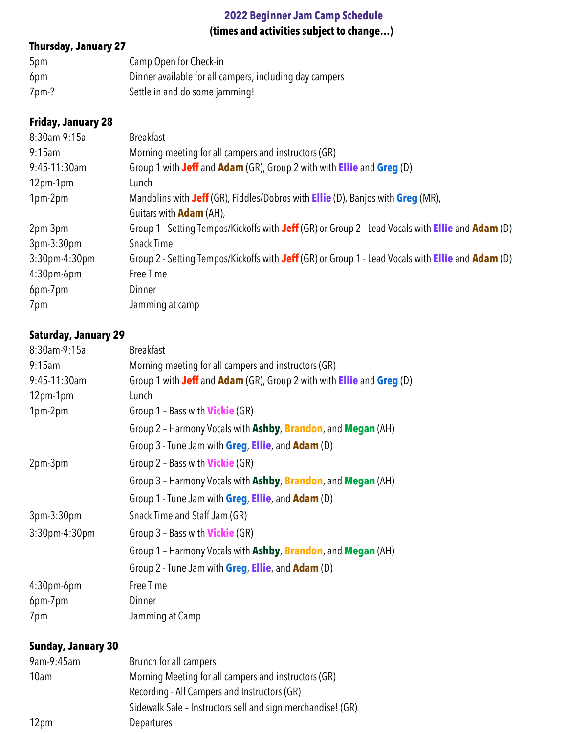# **2022 Beginner Jam Camp Schedule (times and activities subject to change…)**

# **Thursday, January 27**

| 5pm   | Camp Open for Check-in                                  |
|-------|---------------------------------------------------------|
| 6pm   | Dinner available for all campers, including day campers |
| 7pm-? | Settle in and do some jamming!                          |

# **Friday, January 28**

| 8:30am-9:15a     | <b>Breakfast</b>                                                                                                |
|------------------|-----------------------------------------------------------------------------------------------------------------|
| 9:15am           | Morning meeting for all campers and instructors (GR)                                                            |
| 9:45-11:30am     | Group 1 with Jeff and Adam (GR), Group 2 with with <b>Ellie</b> and Greg (D)                                    |
| 12pm-1pm         | Lunch                                                                                                           |
| 1pm-2pm          | Mandolins with Jeff (GR), Fiddles/Dobros with Ellie (D), Banjos with Greg (MR),                                 |
|                  | Guitars with <b>Adam</b> (AH),                                                                                  |
| 2pm-3pm          | Group 1 - Setting Tempos/Kickoffs with Jeff (GR) or Group 2 - Lead Vocals with Ellie and Adam (D)               |
| $3pm-3:30pm$     | <b>Snack Time</b>                                                                                               |
| $3:30$ pm-4:30pm | Group 2 - Setting Tempos/Kickoffs with Jeff (GR) or Group 1 - Lead Vocals with <b>Ellie</b> and <b>Adam</b> (D) |
| $4:30$ pm-6pm    | Free Time                                                                                                       |
| 6pm-7pm          | Dinner                                                                                                          |
| 7pm              | Jamming at camp                                                                                                 |

# **Saturday, January 29**

| 8:30am-9:15a              | <b>Breakfast</b>                                                      |
|---------------------------|-----------------------------------------------------------------------|
| 9:15am                    | Morning meeting for all campers and instructors (GR)                  |
| 9:45-11:30am              | Group 1 with Jeff and Adam (GR), Group 2 with with Ellie and Greg (D) |
| 12pm-1pm                  | Lunch                                                                 |
| 1pm-2pm                   | Group 1 - Bass with <b>Vickie</b> (GR)                                |
|                           | Group 2 - Harmony Vocals with Ashby, Brandon, and Megan (AH)          |
|                           | Group 3 - Tune Jam with Greg, Ellie, and Adam (D)                     |
| 2pm-3pm                   | Group 2 - Bass with <b>Vickie</b> (GR)                                |
|                           | Group 3 - Harmony Vocals with Ashby, Brandon, and Megan (AH)          |
|                           | Group 1 - Tune Jam with Greg, Ellie, and Adam (D)                     |
| 3pm-3:30pm                | Snack Time and Staff Jam (GR)                                         |
| 3:30pm-4:30pm             | Group 3 - Bass with <b>Vickie</b> (GR)                                |
|                           | Group 1 - Harmony Vocals with Ashby, Brandon, and Megan (AH)          |
|                           | Group 2 - Tune Jam with Greg, Ellie, and Adam (D)                     |
| 4:30pm-6pm                | Free Time                                                             |
| 6pm-7pm                   | Dinner                                                                |
| 7pm                       | Jamming at Camp                                                       |
| <b>Sunday, January 30</b> |                                                                       |
| 9am-9:45am                | Brunch for all campers                                                |
| 10am                      | Morning Meeting for all campers and instructors (GR)                  |
|                           | Recording - All Campers and Instructors (GR)                          |
|                           | Sidewalk Sale - Instructors sell and sign merchandise! (GR)           |
| 12pm                      | Departures                                                            |